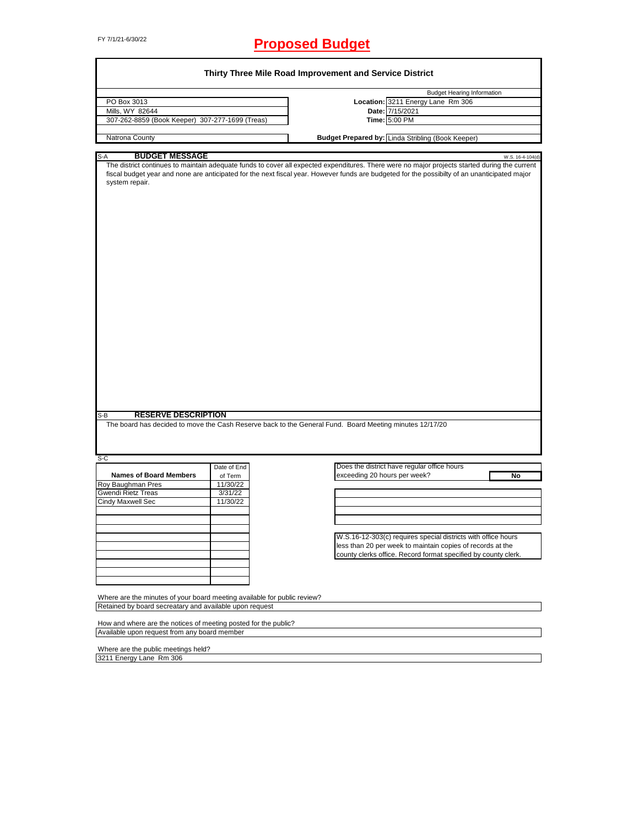## FY 7/1/21-6/30/22 **Proposed Budget**

| PO Box 3013<br>Mills, WY 82644<br>307-262-8859 (Book Keeper) 307-277-1699 (Treas)<br>Natrona County |             |                                                                                                                                                                                                                                                                                                |
|-----------------------------------------------------------------------------------------------------|-------------|------------------------------------------------------------------------------------------------------------------------------------------------------------------------------------------------------------------------------------------------------------------------------------------------|
|                                                                                                     |             | <b>Budget Hearing Information</b>                                                                                                                                                                                                                                                              |
|                                                                                                     |             | Location: 3211 Energy Lane Rm 306                                                                                                                                                                                                                                                              |
|                                                                                                     |             | Date: 7/15/2021                                                                                                                                                                                                                                                                                |
|                                                                                                     |             | Time: 5:00 PM                                                                                                                                                                                                                                                                                  |
|                                                                                                     |             | Budget Prepared by: Linda Stribling (Book Keeper)                                                                                                                                                                                                                                              |
|                                                                                                     |             |                                                                                                                                                                                                                                                                                                |
| <b>BUDGET MESSAGE</b><br>S-A                                                                        |             | W.S. 16-4-104(d)                                                                                                                                                                                                                                                                               |
| system repair.                                                                                      |             | The district continues to maintain adequate funds to cover all expected expenditures. There were no major projects started during the current<br>fiscal budget year and none are anticipated for the next fiscal year. However funds are budgeted for the possibilty of an unanticipated major |
| <b>RESERVE DESCRIPTION</b><br>S-B                                                                   |             | The board has decided to move the Cash Reserve back to the General Fund. Board Meeting minutes 12/17/20                                                                                                                                                                                        |
|                                                                                                     |             |                                                                                                                                                                                                                                                                                                |
|                                                                                                     | Date of End | Does the district have regular office hours                                                                                                                                                                                                                                                    |
|                                                                                                     |             |                                                                                                                                                                                                                                                                                                |
|                                                                                                     |             |                                                                                                                                                                                                                                                                                                |
| <b>Names of Board Members</b>                                                                       | of Term     | exceeding 20 hours per week?<br>No                                                                                                                                                                                                                                                             |
|                                                                                                     | 11/30/22    |                                                                                                                                                                                                                                                                                                |
|                                                                                                     | 3/31/22     |                                                                                                                                                                                                                                                                                                |
|                                                                                                     | 11/30/22    |                                                                                                                                                                                                                                                                                                |
|                                                                                                     |             |                                                                                                                                                                                                                                                                                                |
|                                                                                                     |             |                                                                                                                                                                                                                                                                                                |
|                                                                                                     |             |                                                                                                                                                                                                                                                                                                |
|                                                                                                     |             | W.S.16-12-303(c) requires special districts with office hours                                                                                                                                                                                                                                  |
|                                                                                                     |             | less than 20 per week to maintain copies of records at the                                                                                                                                                                                                                                     |
| S-C<br>Roy Baughman Pres<br>Gwendi Rietz Treas<br><b>Cindy Maxwell Sec</b>                          |             | county clerks office. Record format specified by county clerk.                                                                                                                                                                                                                                 |
|                                                                                                     |             |                                                                                                                                                                                                                                                                                                |
|                                                                                                     |             |                                                                                                                                                                                                                                                                                                |
|                                                                                                     |             |                                                                                                                                                                                                                                                                                                |
|                                                                                                     |             |                                                                                                                                                                                                                                                                                                |
| Where are the minutes of your board meeting available for public review?                            |             |                                                                                                                                                                                                                                                                                                |
| Retained by board secreatary and available upon request                                             |             |                                                                                                                                                                                                                                                                                                |
| How and where are the notices of meeting posted for the public?                                     |             |                                                                                                                                                                                                                                                                                                |

Where are the public meetings held? 3211 Energy Lane Rm 306